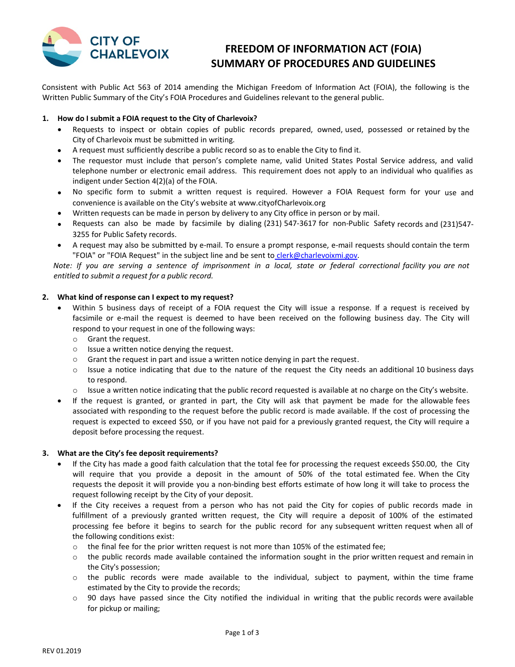

# **FREEDOM OF INFORMATION ACT (FOIA) SUMMARY OF PROCEDURES AND GUIDELINES**

Consistent with Public Act 563 of 2014 amending the Michigan Freedom of Information Act (FOIA), the following is the Written Public Summary of the City's FOIA Procedures and Guidelines relevant to the general public.

# **1. How do I submit a FOIA request to the City of Charlevoix?**

- Requests to inspect or obtain copies of public records prepared, owned, used, possessed or retained by the City of Charlevoix must be submitted in writing.
- A request must sufficiently describe a public record so as to enable the City to find it.
- The requestor must include that person's complete name, valid United States Postal Service address, and valid telephone number or electronic email address. This requirement does not apply to an individual who qualifies as indigent under Section 4(2)(a) of the FOIA.
- No specific form to submit a written request is required. However a FOIA Request form for your use and convenience is available on the City's website at [www.cityofCharlevoix.org](http://www.cityofkalamazoo.org/)
- Written requests can be made in person by delivery to any City office in person or by mail.
- Requests can also be made by facsimile by dialing (231) 547-3617 for non-Public Safety records and (231)547- 3255 for Public Safety records.
- A request may also be submitted by e-mail. To ensure a prompt response, e-mail requests should contain the term "FOIA" or "FOIA Request" in the subject line and be sent to [clerk@charlevoixmi.gov.](mailto:%20clerk@charlevoixmi.gov)

Note: If you are serving a sentence of imprisonment in a local, state or federal correctional facility you are not *entitled to submit a request for a public record.*

# **2. What kind of response can I expect to my request?**

- Within 5 business days of receipt of a FOIA request the City will issue a response. If a request is received by facsimile or e-mail the request is deemed to have been received on the following business day. The City will respond to your request in one of the following ways:
	- o Grant the request.
	- o Issue a written notice denying the request.
	- o Grant the request in part and issue a written notice denying in part the request.
	- o Issue a notice indicating that due to the nature of the request the City needs an additional 10 business days to respond.
	- $\circ$  Issue a written notice indicating that the public record requested is available at no charge on the City's website.
- If the request is granted, or granted in part, the City will ask that payment be made for the allowable fees associated with responding to the request before the public record is made available. If the cost of processing the request is expected to exceed \$50, or if you have not paid for a previously granted request, the City will require a deposit before processing the request.

### **3. What are the City's fee deposit requirements?**

- If the City has made a good faith calculation that the total fee for processing the request exceeds \$50.00, the City will require that you provide a deposit in the amount of 50% of the total estimated fee. When the City requests the deposit it will provide you a non-binding best efforts estimate of how long it will take to process the request following receipt by the City of your deposit.
- If the City receives a request from a person who has not paid the City for copies of public records made in fulfillment of a previously granted written request, the City will require a deposit of 100% of the estimated processing fee before it begins to search for the public record for any subsequent written request when all of the following conditions exist:
	- o the final fee for the prior written request is not more than 105% of the estimated fee;
	- $\circ$  the public records made available contained the information sought in the prior written request and remain in the City's possession;
	- o the public records were made available to the individual, subject to payment, within the time frame estimated by the City to provide the records;
	- $\circ$  90 days have passed since the City notified the individual in writing that the public records were available for pickup or mailing;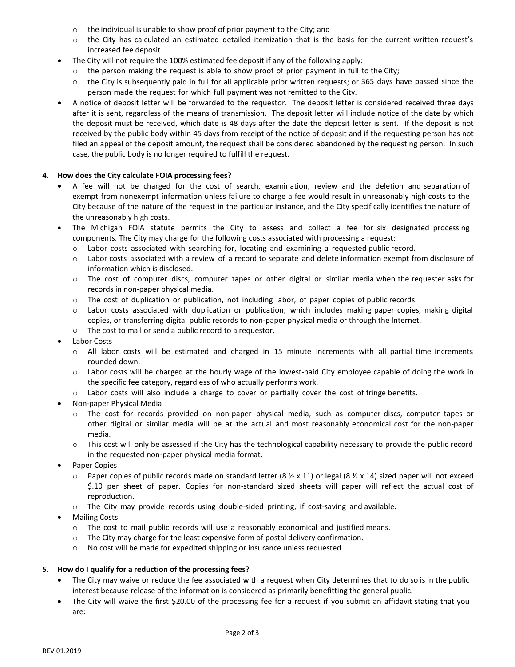- o the individual is unable to show proof of prior payment to the City; and
- $\circ$  the City has calculated an estimated detailed itemization that is the basis for the current written request's increased fee deposit.
- The City will not require the 100% estimated fee deposit if any of the following apply:
	- $\circ$  the person making the request is able to show proof of prior payment in full to the City;
	- $\circ$  the City is subsequently paid in full for all applicable prior written requests; or 365 days have passed since the person made the request for which full payment was not remitted to the City.
- A notice of deposit letter will be forwarded to the requestor. The deposit letter is considered received three days after it is sent, regardless of the means of transmission. The deposit letter will include notice of the date by which the deposit must be received, which date is 48 days after the date the deposit letter is sent. If the deposit is not received by the public body within 45 days from receipt of the notice of deposit and if the requesting person has not filed an appeal of the deposit amount, the request shall be considered abandoned by the requesting person. In such case, the public body is no longer required to fulfill the request.

# **4. How does the City calculate FOIA processing fees?**

- A fee will not be charged for the cost of search, examination, review and the deletion and separation of exempt from nonexempt information unless failure to charge a fee would result in unreasonably high costs to the City because of the nature of the request in the particular instance, and the City specifically identifies the nature of the unreasonably high costs.
- The Michigan FOIA statute permits the City to assess and collect a fee for six designated processing components. The City may charge for the following costs associated with processing a request:
	- o Labor costs associated with searching for, locating and examining a requested public record.
	- o Labor costs associated with a review of a record to separate and delete information exempt from disclosure of information which is disclosed.
	- o The cost of computer discs, computer tapes or other digital or similar media when the requester asks for records in non-paper physical media.
	- o The cost of duplication or publication, not including labor, of paper copies of public records.
	- o Labor costs associated with duplication or publication, which includes making paper copies, making digital copies, or transferring digital public records to non-paper physical media or through the Internet.
	- o The cost to mail or send a public record to a requestor.
- Labor Costs
	- o All labor costs will be estimated and charged in 15 minute increments with all partial time increments rounded down.
	- o Labor costs will be charged at the hourly wage of the lowest-paid City employee capable of doing the work in the specific fee category, regardless of who actually performs work.
	- o Labor costs will also include a charge to cover or partially cover the cost of fringe benefits.
- Non-paper Physical Media
	- o The cost for records provided on non-paper physical media, such as computer discs, computer tapes or other digital or similar media will be at the actual and most reasonably economical cost for the non-paper media.
	- o This cost will only be assessed if the City has the technological capability necessary to provide the public record in the requested non-paper physical media format.
- Paper Copies
	- $\circ$  Paper copies of public records made on standard letter (8  $\frac{1}{2}$  x 11) or legal (8  $\frac{1}{2}$  x 14) sized paper will not exceed \$.10 per sheet of paper. Copies for non-standard sized sheets will paper will reflect the actual cost of reproduction.
	- $\circ$  The City may provide records using double-sided printing, if cost-saving and available.
- Mailing Costs
	- o The cost to mail public records will use a reasonably economical and justified means.
	- o The City may charge for the least expensive form of postal delivery confirmation.
	- o No cost will be made for expedited shipping or insurance unless requested.

# **5. How do I qualify for a reduction of the processing fees?**

- The City may waive or reduce the fee associated with a request when City determines that to do so is in the public interest because release of the information is considered as primarily benefitting the general public.
- The City will waive the first \$20.00 of the processing fee for a request if you submit an affidavit stating that you are: